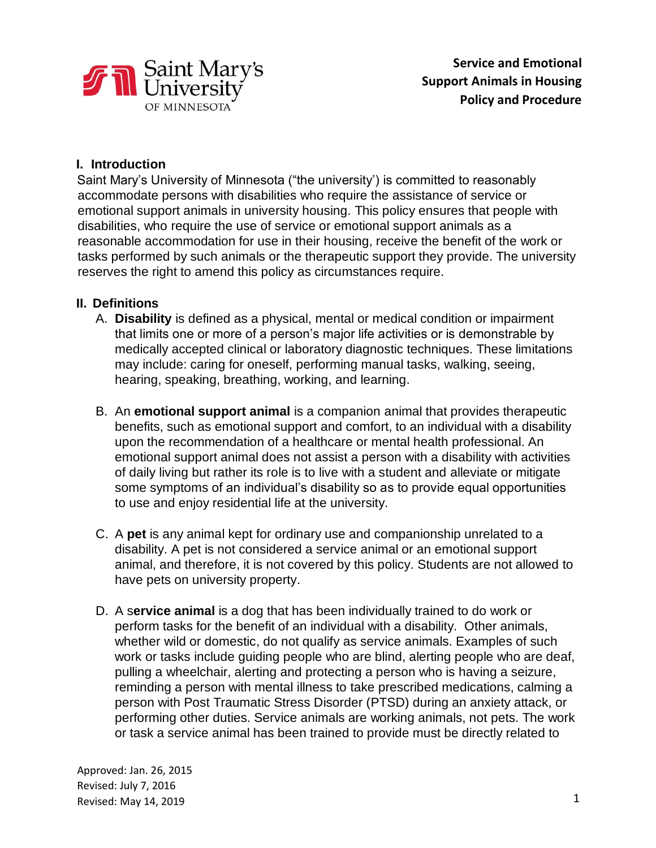

## **I. Introduction**

Saint Mary's University of Minnesota ("the university') is committed to reasonably accommodate persons with disabilities who require the assistance of service or emotional support animals in university housing. This policy ensures that people with disabilities, who require the use of service or emotional support animals as a reasonable accommodation for use in their housing, receive the benefit of the work or tasks performed by such animals or the therapeutic support they provide. The university reserves the right to amend this policy as circumstances require.

#### **II. Definitions**

- A. **Disability** is defined as a physical, mental or medical condition or impairment that limits one or more of a person's major life activities or is demonstrable by medically accepted clinical or laboratory diagnostic techniques. These limitations may include: caring for oneself, performing manual tasks, walking, seeing, hearing, speaking, breathing, working, and learning.
- B. An **emotional support animal** is a companion animal that provides therapeutic benefits, such as emotional support and comfort, to an individual with a disability upon the recommendation of a healthcare or mental health professional. An emotional support animal does not assist a person with a disability with activities of daily living but rather its role is to live with a student and alleviate or mitigate some symptoms of an individual's disability so as to provide equal opportunities to use and enjoy residential life at the university.
- C. A **pet** is any animal kept for ordinary use and companionship unrelated to a disability. A pet is not considered a service animal or an emotional support animal, and therefore, it is not covered by this policy. Students are not allowed to have pets on university property.
- D. A s**ervice animal** is a dog that has been individually trained to do work or perform tasks for the benefit of an individual with a disability. Other animals, whether wild or domestic, do not qualify as service animals. Examples of such work or tasks include guiding people who are blind, alerting people who are deaf, pulling a wheelchair, alerting and protecting a person who is having a seizure, reminding a person with mental illness to take prescribed medications, calming a person with Post Traumatic Stress Disorder (PTSD) during an anxiety attack, or performing other duties. Service animals are working animals, not pets. The work or task a service animal has been trained to provide must be directly related to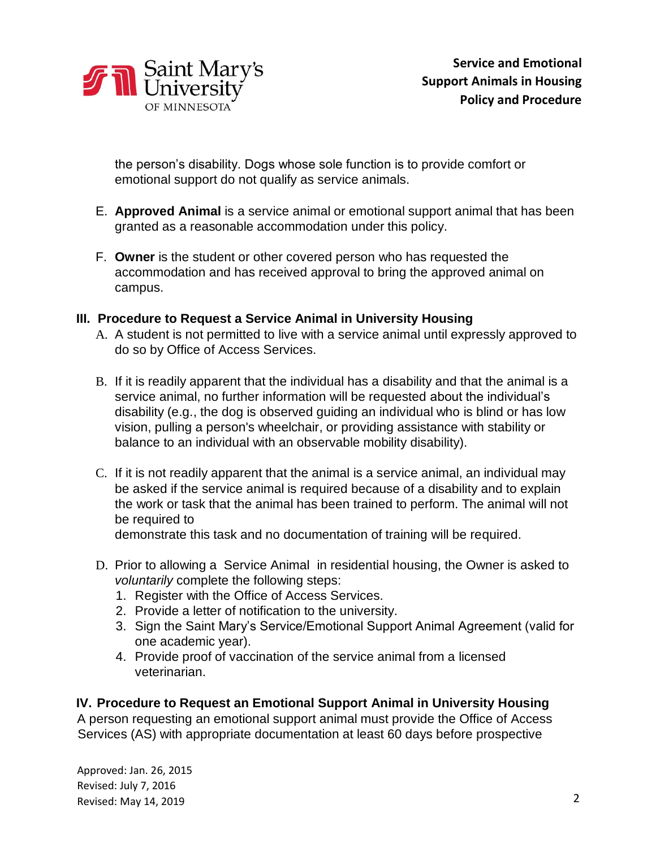

the person's disability. Dogs whose sole function is to provide comfort or emotional support do not qualify as service animals.

- E. **Approved Animal** is a service animal or emotional support animal that has been granted as a reasonable accommodation under this policy.
- F. **Owner** is the student or other covered person who has requested the accommodation and has received approval to bring the approved animal on campus.

#### **III. Procedure to Request a Service Animal in University Housing**

- A. A student is not permitted to live with a service animal until expressly approved to do so by Office of Access Services.
- B. If it is readily apparent that the individual has a disability and that the animal is a service animal, no further information will be requested about the individual's disability (e.g., the dog is observed guiding an individual who is blind or has low vision, pulling a person's wheelchair, or providing assistance with stability or balance to an individual with an observable mobility disability).
- C. If it is not readily apparent that the animal is a service animal, an individual may be asked if the service animal is required because of a disability and to explain the work or task that the animal has been trained to perform. The animal will not be required to

demonstrate this task and no documentation of training will be required.

- D. Prior to allowing a Service Animal in residential housing, the Owner is asked to *voluntarily* complete the following steps:
	- 1. Register with the Office of Access Services.
	- 2. Provide a letter of notification to the university.
	- 3. Sign the Saint Mary's Service/Emotional Support Animal Agreement (valid for one academic year).
	- 4. Provide proof of vaccination of the service animal from a licensed veterinarian.

## **IV. Procedure to Request an Emotional Support Animal in University Housing**

A person requesting an emotional support animal must provide the Office of Access Services (AS) with appropriate documentation at least 60 days before prospective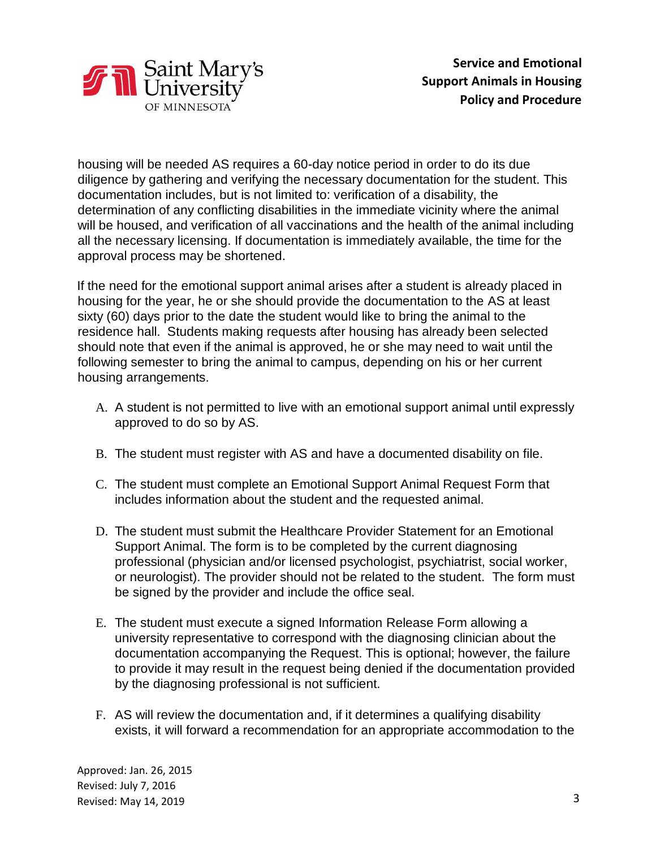

housing will be needed AS requires a 60-day notice period in order to do its due diligence by gathering and verifying the necessary documentation for the student. This documentation includes, but is not limited to: verification of a disability, the determination of any conflicting disabilities in the immediate vicinity where the animal will be housed, and verification of all vaccinations and the health of the animal including all the necessary licensing. If documentation is immediately available, the time for the approval process may be shortened.

If the need for the emotional support animal arises after a student is already placed in housing for the year, he or she should provide the documentation to the AS at least sixty (60) days prior to the date the student would like to bring the animal to the residence hall. Students making requests after housing has already been selected should note that even if the animal is approved, he or she may need to wait until the following semester to bring the animal to campus, depending on his or her current housing arrangements.

- A. A student is not permitted to live with an emotional support animal until expressly approved to do so by AS.
- B. The student must register with AS and have a documented disability on file.
- C. The student must complete an Emotional Support Animal Request Form that includes information about the student and the requested animal.
- D. The student must submit the Healthcare Provider Statement for an Emotional Support Animal. The form is to be completed by the current diagnosing professional (physician and/or licensed psychologist, psychiatrist, social worker, or neurologist). The provider should not be related to the student. The form must be signed by the provider and include the office seal.
- E. The student must execute a signed Information Release Form allowing a university representative to correspond with the diagnosing clinician about the documentation accompanying the Request. This is optional; however, the failure to provide it may result in the request being denied if the documentation provided by the diagnosing professional is not sufficient.
- F. AS will review the documentation and, if it determines a qualifying disability exists, it will forward a recommendation for an appropriate accommodation to the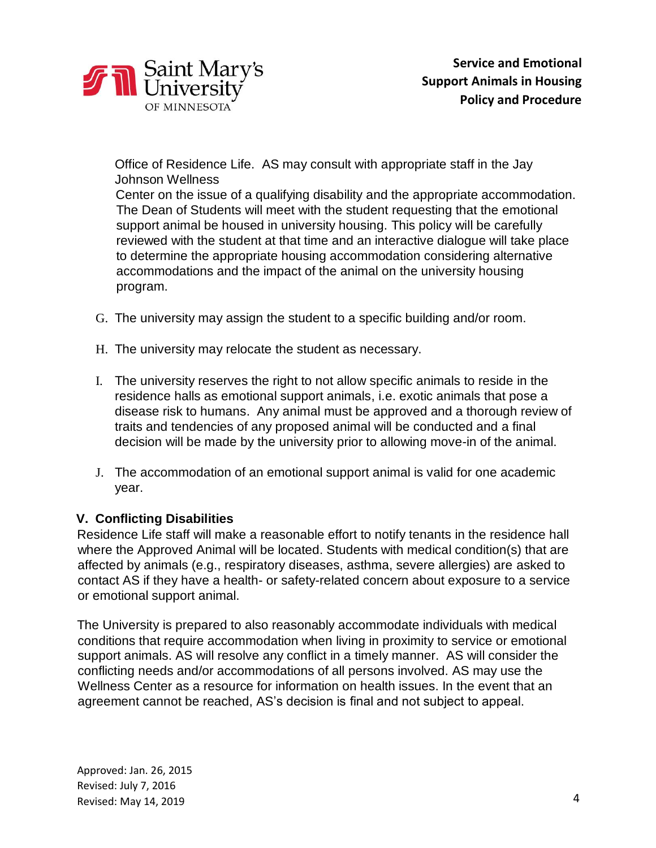

Office of Residence Life. AS may consult with appropriate staff in the Jay Johnson Wellness

Center on the issue of a qualifying disability and the appropriate accommodation. The Dean of Students will meet with the student requesting that the emotional support animal be housed in university housing. This policy will be carefully reviewed with the student at that time and an interactive dialogue will take place to determine the appropriate housing accommodation considering alternative accommodations and the impact of the animal on the university housing program.

- G. The university may assign the student to a specific building and/or room.
- H. The university may relocate the student as necessary.
- I. The university reserves the right to not allow specific animals to reside in the residence halls as emotional support animals, i.e. exotic animals that pose a disease risk to humans. Any animal must be approved and a thorough review of traits and tendencies of any proposed animal will be conducted and a final decision will be made by the university prior to allowing move-in of the animal.
- J. The accommodation of an emotional support animal is valid for one academic year.

## **V. Conflicting Disabilities**

Residence Life staff will make a reasonable effort to notify tenants in the residence hall where the Approved Animal will be located. Students with medical condition(s) that are affected by animals (e.g., respiratory diseases, asthma, severe allergies) are asked to contact AS if they have a health- or safety-related concern about exposure to a service or emotional support animal.

The University is prepared to also reasonably accommodate individuals with medical conditions that require accommodation when living in proximity to service or emotional support animals. AS will resolve any conflict in a timely manner. AS will consider the conflicting needs and/or accommodations of all persons involved. AS may use the Wellness Center as a resource for information on health issues. In the event that an agreement cannot be reached, AS's decision is final and not subject to appeal.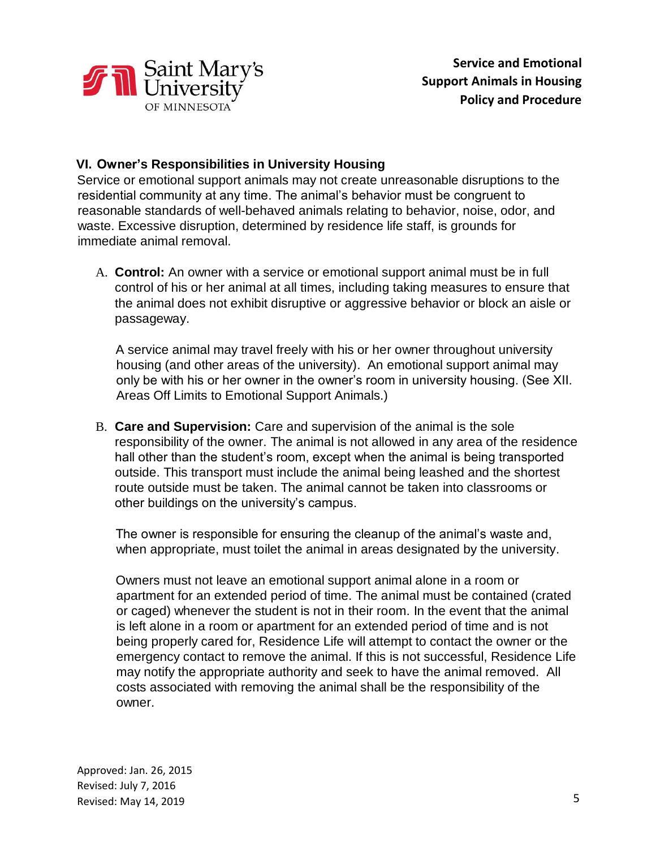

## **VI. Owner's Responsibilities in University Housing**

Service or emotional support animals may not create unreasonable disruptions to the residential community at any time. The animal's behavior must be congruent to reasonable standards of well-behaved animals relating to behavior, noise, odor, and waste. Excessive disruption, determined by residence life staff, is grounds for immediate animal removal.

A. **Control:** An owner with a service or emotional support animal must be in full control of his or her animal at all times, including taking measures to ensure that the animal does not exhibit disruptive or aggressive behavior or block an aisle or passageway.

A service animal may travel freely with his or her owner throughout university housing (and other areas of the university). An emotional support animal may only be with his or her owner in the owner's room in university housing. (See XII. Areas Off Limits to Emotional Support Animals.)

B. **Care and Supervision:** Care and supervision of the animal is the sole responsibility of the owner. The animal is not allowed in any area of the residence hall other than the student's room, except when the animal is being transported outside. This transport must include the animal being leashed and the shortest route outside must be taken. The animal cannot be taken into classrooms or other buildings on the university's campus.

The owner is responsible for ensuring the cleanup of the animal's waste and, when appropriate, must toilet the animal in areas designated by the university.

Owners must not leave an emotional support animal alone in a room or apartment for an extended period of time. The animal must be contained (crated or caged) whenever the student is not in their room. In the event that the animal is left alone in a room or apartment for an extended period of time and is not being properly cared for, Residence Life will attempt to contact the owner or the emergency contact to remove the animal. If this is not successful, Residence Life may notify the appropriate authority and seek to have the animal removed. All costs associated with removing the animal shall be the responsibility of the owner.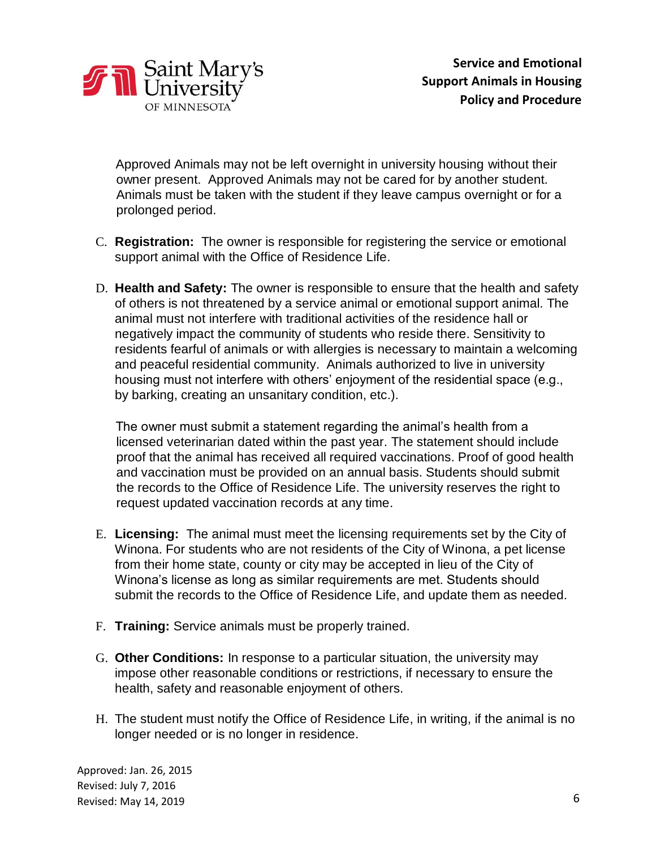

Approved Animals may not be left overnight in university housing without their owner present. Approved Animals may not be cared for by another student. Animals must be taken with the student if they leave campus overnight or for a prolonged period.

- C. **Registration:** The owner is responsible for registering the service or emotional support animal with the Office of Residence Life.
- D. **Health and Safety:** The owner is responsible to ensure that the health and safety of others is not threatened by a service animal or emotional support animal. The animal must not interfere with traditional activities of the residence hall or negatively impact the community of students who reside there. Sensitivity to residents fearful of animals or with allergies is necessary to maintain a welcoming and peaceful residential community. Animals authorized to live in university housing must not interfere with others' enjoyment of the residential space (e.g., by barking, creating an unsanitary condition, etc.).

The owner must submit a statement regarding the animal's health from a licensed veterinarian dated within the past year. The statement should include proof that the animal has received all required vaccinations. Proof of good health and vaccination must be provided on an annual basis. Students should submit the records to the Office of Residence Life. The university reserves the right to request updated vaccination records at any time.

- E. **Licensing:** The animal must meet the licensing requirements set by the City of Winona. For students who are not residents of the City of Winona, a pet license from their home state, county or city may be accepted in lieu of the City of Winona's license as long as similar requirements are met. Students should submit the records to the Office of Residence Life, and update them as needed.
- F. **Training:** Service animals must be properly trained.
- G. **Other Conditions:** In response to a particular situation, the university may impose other reasonable conditions or restrictions, if necessary to ensure the health, safety and reasonable enjoyment of others.
- H. The student must notify the Office of Residence Life, in writing, if the animal is no longer needed or is no longer in residence.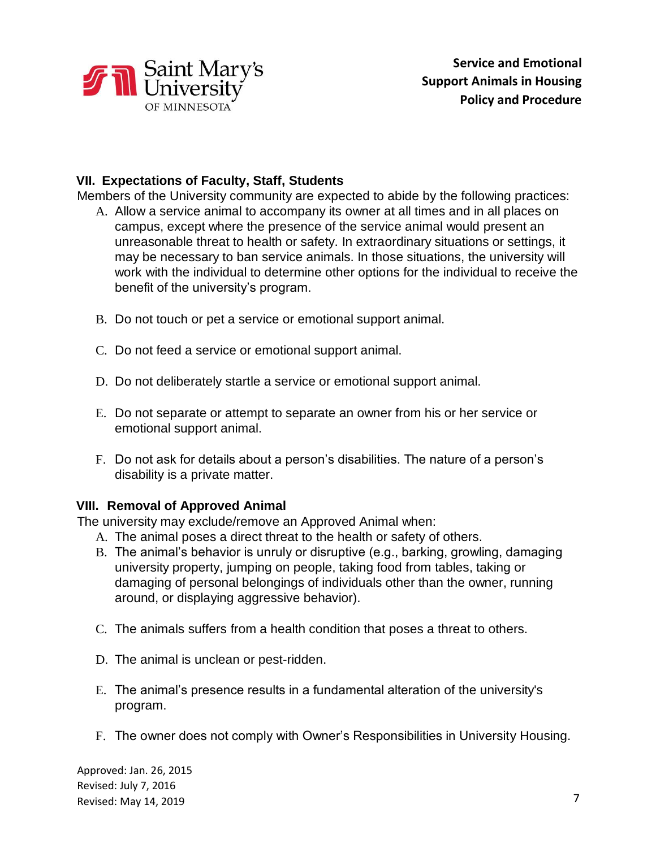

#### **VII. Expectations of Faculty, Staff, Students**

Members of the University community are expected to abide by the following practices:

- A. Allow a service animal to accompany its owner at all times and in all places on campus, except where the presence of the service animal would present an unreasonable threat to health or safety. In extraordinary situations or settings, it may be necessary to ban service animals. In those situations, the university will work with the individual to determine other options for the individual to receive the benefit of the university's program.
- B. Do not touch or pet a service or emotional support animal.
- C. Do not feed a service or emotional support animal.
- D. Do not deliberately startle a service or emotional support animal.
- E. Do not separate or attempt to separate an owner from his or her service or emotional support animal.
- F. Do not ask for details about a person's disabilities. The nature of a person's disability is a private matter.

## **VIII. Removal of Approved Animal**

The university may exclude/remove an Approved Animal when:

- A. The animal poses a direct threat to the health or safety of others.
- B. The animal's behavior is unruly or disruptive (e.g., barking, growling, damaging university property, jumping on people, taking food from tables, taking or damaging of personal belongings of individuals other than the owner, running around, or displaying aggressive behavior).
- C. The animals suffers from a health condition that poses a threat to others.
- D. The animal is unclean or pest-ridden.
- E. The animal's presence results in a fundamental alteration of the university's program.
- F. The owner does not comply with Owner's Responsibilities in University Housing.

Approved: Jan. 26, 2015 Revised: July 7, 2016 Revised: May 14, 2019 7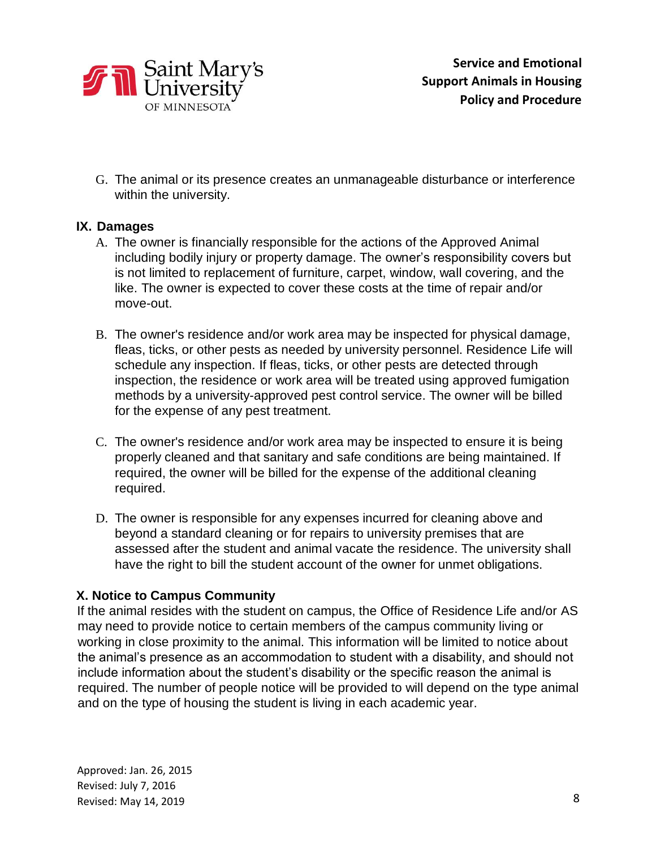

G. The animal or its presence creates an unmanageable disturbance or interference within the university.

## **IX. Damages**

- A. The owner is financially responsible for the actions of the Approved Animal including bodily injury or property damage. The owner's responsibility covers but is not limited to replacement of furniture, carpet, window, wall covering, and the like. The owner is expected to cover these costs at the time of repair and/or move-out.
- B. The owner's residence and/or work area may be inspected for physical damage, fleas, ticks, or other pests as needed by university personnel. Residence Life will schedule any inspection. If fleas, ticks, or other pests are detected through inspection, the residence or work area will be treated using approved fumigation methods by a university-approved pest control service. The owner will be billed for the expense of any pest treatment.
- C. The owner's residence and/or work area may be inspected to ensure it is being properly cleaned and that sanitary and safe conditions are being maintained. If required, the owner will be billed for the expense of the additional cleaning required.
- D. The owner is responsible for any expenses incurred for cleaning above and beyond a standard cleaning or for repairs to university premises that are assessed after the student and animal vacate the residence. The university shall have the right to bill the student account of the owner for unmet obligations.

## **X. Notice to Campus Community**

If the animal resides with the student on campus, the Office of Residence Life and/or AS may need to provide notice to certain members of the campus community living or working in close proximity to the animal. This information will be limited to notice about the animal's presence as an accommodation to student with a disability, and should not include information about the student's disability or the specific reason the animal is required. The number of people notice will be provided to will depend on the type animal and on the type of housing the student is living in each academic year.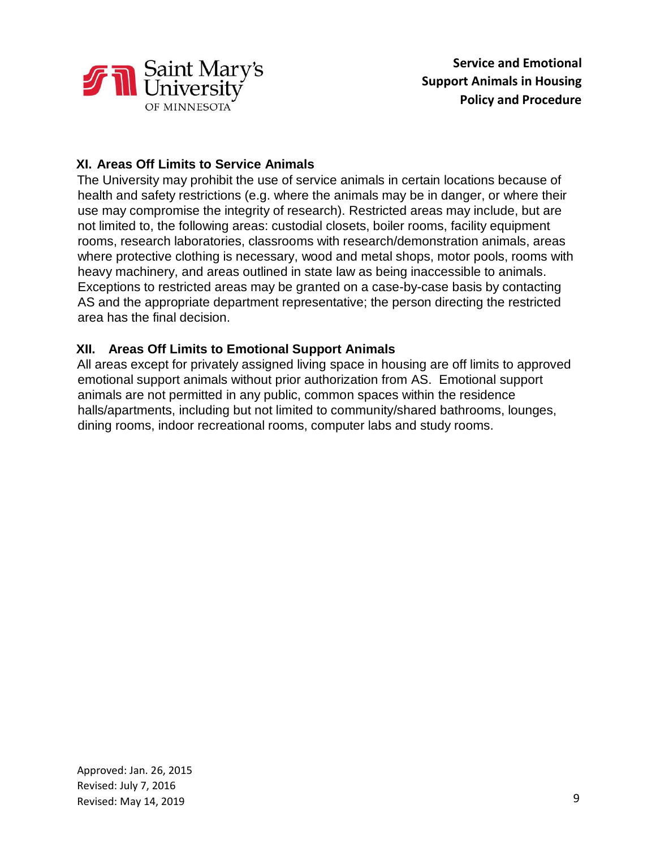

# **XI. Areas Off Limits to Service Animals**

The University may prohibit the use of service animals in certain locations because of health and safety restrictions (e.g. where the animals may be in danger, or where their use may compromise the integrity of research). Restricted areas may include, but are not limited to, the following areas: custodial closets, boiler rooms, facility equipment rooms, research laboratories, classrooms with research/demonstration animals, areas where protective clothing is necessary, wood and metal shops, motor pools, rooms with heavy machinery, and areas outlined in state law as being inaccessible to animals. Exceptions to restricted areas may be granted on a case-by-case basis by contacting AS and the appropriate department representative; the person directing the restricted area has the final decision.

## **XII. Areas Off Limits to Emotional Support Animals**

All areas except for privately assigned living space in housing are off limits to approved emotional support animals without prior authorization from AS. Emotional support animals are not permitted in any public, common spaces within the residence halls/apartments, including but not limited to community/shared bathrooms, lounges, dining rooms, indoor recreational rooms, computer labs and study rooms.